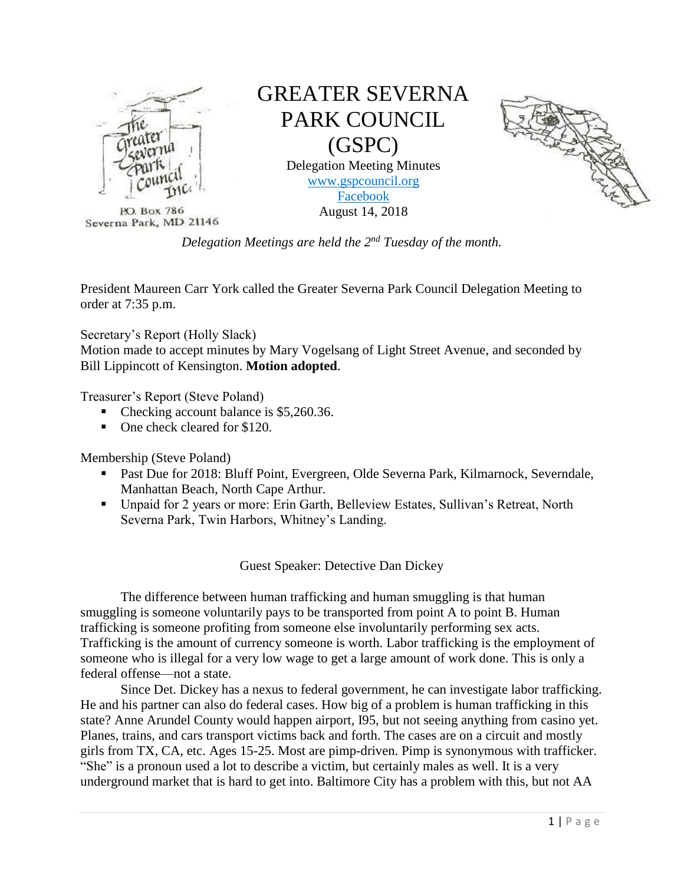

PO. Box 786 Severna Park, MD 21146

# GREATER SEVERNA PARK COUNCIL (GSPC) Delegation Meeting Minutes

[www.gspcouncil.org](http://www.gspcouncil.org/) [Facebook](https://www.facebook.com/severnaparkcouncil/) August 14, 2018



*Delegation Meetings are held the 2nd Tuesday of the month.*

President Maureen Carr York called the Greater Severna Park Council Delegation Meeting to order at 7:35 p.m.

Secretary's Report (Holly Slack)

Motion made to accept minutes by Mary Vogelsang of Light Street Avenue, and seconded by Bill Lippincott of Kensington. **Motion adopted**.

Treasurer's Report (Steve Poland)

- Checking account balance is \$5,260.36.
- One check cleared for \$120.

Membership (Steve Poland)

- Past Due for 2018: Bluff Point, Evergreen, Olde Severna Park, Kilmarnock, Severndale, Manhattan Beach, North Cape Arthur.
- Unpaid for 2 years or more: Erin Garth, Belleview Estates, Sullivan's Retreat, North Severna Park, Twin Harbors, Whitney's Landing.

Guest Speaker: Detective Dan Dickey

The difference between human trafficking and human smuggling is that human smuggling is someone voluntarily pays to be transported from point A to point B. Human trafficking is someone profiting from someone else involuntarily performing sex acts. Trafficking is the amount of currency someone is worth. Labor trafficking is the employment of someone who is illegal for a very low wage to get a large amount of work done. This is only a federal offense—not a state.

Since Det. Dickey has a nexus to federal government, he can investigate labor trafficking. He and his partner can also do federal cases. How big of a problem is human trafficking in this state? Anne Arundel County would happen airport, I95, but not seeing anything from casino yet. Planes, trains, and cars transport victims back and forth. The cases are on a circuit and mostly girls from TX, CA, etc. Ages 15-25. Most are pimp-driven. Pimp is synonymous with trafficker. "She" is a pronoun used a lot to describe a victim, but certainly males as well. It is a very underground market that is hard to get into. Baltimore City has a problem with this, but not AA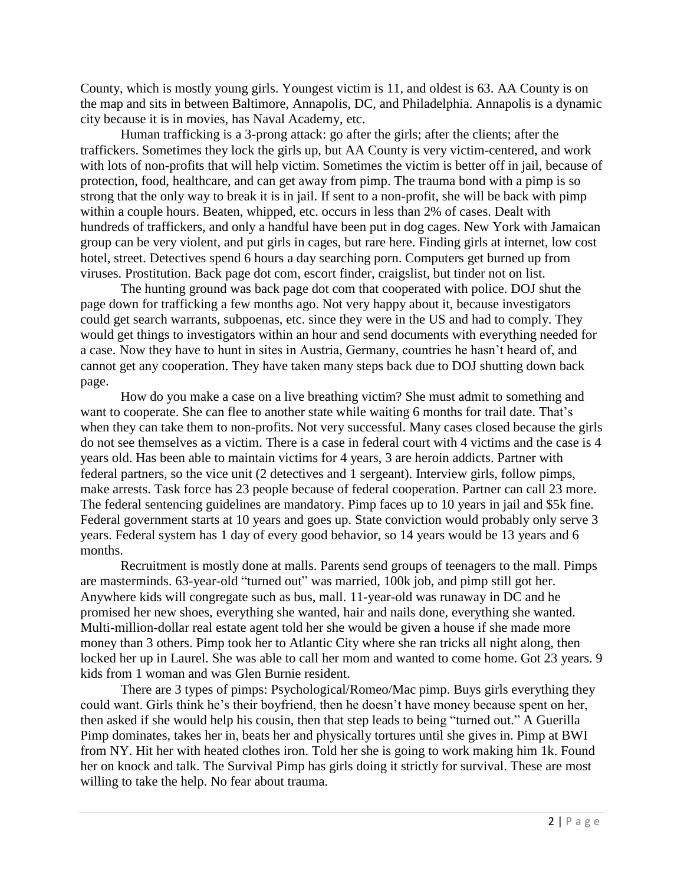County, which is mostly young girls. Youngest victim is 11, and oldest is 63. AA County is on the map and sits in between Baltimore, Annapolis, DC, and Philadelphia. Annapolis is a dynamic city because it is in movies, has Naval Academy, etc.

Human trafficking is a 3-prong attack: go after the girls; after the clients; after the traffickers. Sometimes they lock the girls up, but AA County is very victim-centered, and work with lots of non-profits that will help victim. Sometimes the victim is better off in jail, because of protection, food, healthcare, and can get away from pimp. The trauma bond with a pimp is so strong that the only way to break it is in jail. If sent to a non-profit, she will be back with pimp within a couple hours. Beaten, whipped, etc. occurs in less than 2% of cases. Dealt with hundreds of traffickers, and only a handful have been put in dog cages. New York with Jamaican group can be very violent, and put girls in cages, but rare here. Finding girls at internet, low cost hotel, street. Detectives spend 6 hours a day searching porn. Computers get burned up from viruses. Prostitution. Back page dot com, escort finder, craigslist, but tinder not on list.

The hunting ground was back page dot com that cooperated with police. DOJ shut the page down for trafficking a few months ago. Not very happy about it, because investigators could get search warrants, subpoenas, etc. since they were in the US and had to comply. They would get things to investigators within an hour and send documents with everything needed for a case. Now they have to hunt in sites in Austria, Germany, countries he hasn't heard of, and cannot get any cooperation. They have taken many steps back due to DOJ shutting down back page.

How do you make a case on a live breathing victim? She must admit to something and want to cooperate. She can flee to another state while waiting 6 months for trail date. That's when they can take them to non-profits. Not very successful. Many cases closed because the girls do not see themselves as a victim. There is a case in federal court with 4 victims and the case is 4 years old. Has been able to maintain victims for 4 years, 3 are heroin addicts. Partner with federal partners, so the vice unit (2 detectives and 1 sergeant). Interview girls, follow pimps, make arrests. Task force has 23 people because of federal cooperation. Partner can call 23 more. The federal sentencing guidelines are mandatory. Pimp faces up to 10 years in jail and \$5k fine. Federal government starts at 10 years and goes up. State conviction would probably only serve 3 years. Federal system has 1 day of every good behavior, so 14 years would be 13 years and 6 months.

Recruitment is mostly done at malls. Parents send groups of teenagers to the mall. Pimps are masterminds. 63-year-old "turned out" was married, 100k job, and pimp still got her. Anywhere kids will congregate such as bus, mall. 11-year-old was runaway in DC and he promised her new shoes, everything she wanted, hair and nails done, everything she wanted. Multi-million-dollar real estate agent told her she would be given a house if she made more money than 3 others. Pimp took her to Atlantic City where she ran tricks all night along, then locked her up in Laurel. She was able to call her mom and wanted to come home. Got 23 years. 9 kids from 1 woman and was Glen Burnie resident.

There are 3 types of pimps: Psychological/Romeo/Mac pimp. Buys girls everything they could want. Girls think he's their boyfriend, then he doesn't have money because spent on her, then asked if she would help his cousin, then that step leads to being "turned out." A Guerilla Pimp dominates, takes her in, beats her and physically tortures until she gives in. Pimp at BWI from NY. Hit her with heated clothes iron. Told her she is going to work making him 1k. Found her on knock and talk. The Survival Pimp has girls doing it strictly for survival. These are most willing to take the help. No fear about trauma.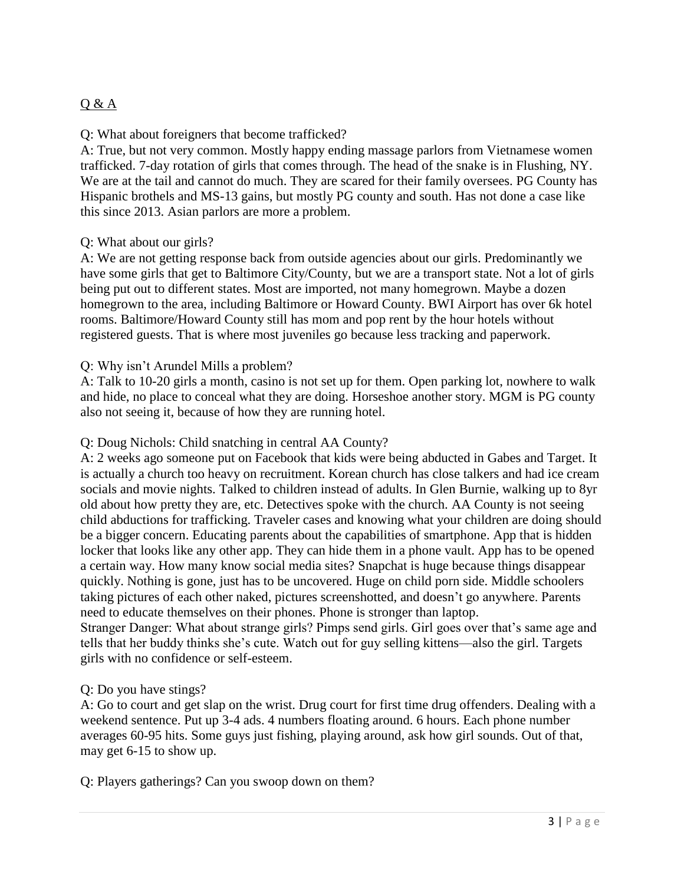# Q & A

## Q: What about foreigners that become trafficked?

A: True, but not very common. Mostly happy ending massage parlors from Vietnamese women trafficked. 7-day rotation of girls that comes through. The head of the snake is in Flushing, NY. We are at the tail and cannot do much. They are scared for their family oversees. PG County has Hispanic brothels and MS-13 gains, but mostly PG county and south. Has not done a case like this since 2013. Asian parlors are more a problem.

## Q: What about our girls?

A: We are not getting response back from outside agencies about our girls. Predominantly we have some girls that get to Baltimore City/County, but we are a transport state. Not a lot of girls being put out to different states. Most are imported, not many homegrown. Maybe a dozen homegrown to the area, including Baltimore or Howard County. BWI Airport has over 6k hotel rooms. Baltimore/Howard County still has mom and pop rent by the hour hotels without registered guests. That is where most juveniles go because less tracking and paperwork.

#### Q: Why isn't Arundel Mills a problem?

A: Talk to 10-20 girls a month, casino is not set up for them. Open parking lot, nowhere to walk and hide, no place to conceal what they are doing. Horseshoe another story. MGM is PG county also not seeing it, because of how they are running hotel.

#### Q: Doug Nichols: Child snatching in central AA County?

A: 2 weeks ago someone put on Facebook that kids were being abducted in Gabes and Target. It is actually a church too heavy on recruitment. Korean church has close talkers and had ice cream socials and movie nights. Talked to children instead of adults. In Glen Burnie, walking up to 8yr old about how pretty they are, etc. Detectives spoke with the church. AA County is not seeing child abductions for trafficking. Traveler cases and knowing what your children are doing should be a bigger concern. Educating parents about the capabilities of smartphone. App that is hidden locker that looks like any other app. They can hide them in a phone vault. App has to be opened a certain way. How many know social media sites? Snapchat is huge because things disappear quickly. Nothing is gone, just has to be uncovered. Huge on child porn side. Middle schoolers taking pictures of each other naked, pictures screenshotted, and doesn't go anywhere. Parents need to educate themselves on their phones. Phone is stronger than laptop. Stranger Danger: What about strange girls? Pimps send girls. Girl goes over that's same age and

tells that her buddy thinks she's cute. Watch out for guy selling kittens—also the girl. Targets girls with no confidence or self-esteem.

#### Q: Do you have stings?

A: Go to court and get slap on the wrist. Drug court for first time drug offenders. Dealing with a weekend sentence. Put up 3-4 ads. 4 numbers floating around. 6 hours. Each phone number averages 60-95 hits. Some guys just fishing, playing around, ask how girl sounds. Out of that, may get 6-15 to show up.

Q: Players gatherings? Can you swoop down on them?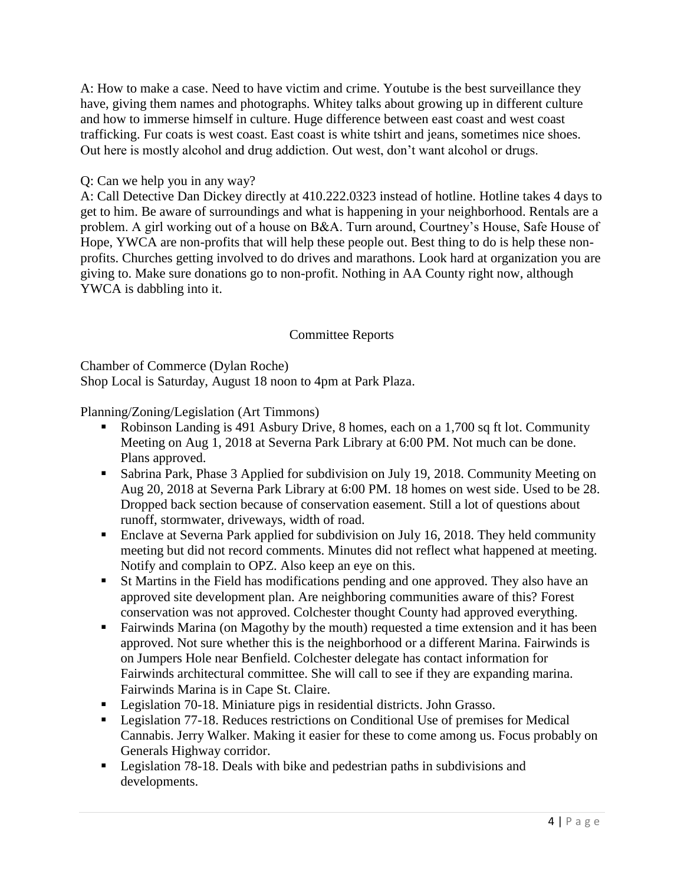A: How to make a case. Need to have victim and crime. Youtube is the best surveillance they have, giving them names and photographs. Whitey talks about growing up in different culture and how to immerse himself in culture. Huge difference between east coast and west coast trafficking. Fur coats is west coast. East coast is white tshirt and jeans, sometimes nice shoes. Out here is mostly alcohol and drug addiction. Out west, don't want alcohol or drugs.

## Q: Can we help you in any way?

A: Call Detective Dan Dickey directly at 410.222.0323 instead of hotline. Hotline takes 4 days to get to him. Be aware of surroundings and what is happening in your neighborhood. Rentals are a problem. A girl working out of a house on B&A. Turn around, Courtney's House, Safe House of Hope, YWCA are non-profits that will help these people out. Best thing to do is help these nonprofits. Churches getting involved to do drives and marathons. Look hard at organization you are giving to. Make sure donations go to non-profit. Nothing in AA County right now, although YWCA is dabbling into it.

## Committee Reports

Chamber of Commerce (Dylan Roche) Shop Local is Saturday, August 18 noon to 4pm at Park Plaza.

Planning/Zoning/Legislation (Art Timmons)

- Robinson Landing is 491 Asbury Drive, 8 homes, each on a 1,700 sq ft lot. Community Meeting on Aug 1, 2018 at Severna Park Library at 6:00 PM. Not much can be done. Plans approved.
- Sabrina Park, Phase 3 Applied for subdivision on July 19, 2018. Community Meeting on Aug 20, 2018 at Severna Park Library at 6:00 PM. 18 homes on west side. Used to be 28. Dropped back section because of conservation easement. Still a lot of questions about runoff, stormwater, driveways, width of road.
- Enclave at Severna Park applied for subdivision on July 16, 2018. They held community meeting but did not record comments. Minutes did not reflect what happened at meeting. Notify and complain to OPZ. Also keep an eye on this.
- St Martins in the Field has modifications pending and one approved. They also have an approved site development plan. Are neighboring communities aware of this? Forest conservation was not approved. Colchester thought County had approved everything.
- Fairwinds Marina (on Magothy by the mouth) requested a time extension and it has been approved. Not sure whether this is the neighborhood or a different Marina. Fairwinds is on Jumpers Hole near Benfield. Colchester delegate has contact information for Fairwinds architectural committee. She will call to see if they are expanding marina. Fairwinds Marina is in Cape St. Claire.
- Legislation 70-18. Miniature pigs in residential districts. John Grasso.
- Legislation 77-18. Reduces restrictions on Conditional Use of premises for Medical Cannabis. Jerry Walker. Making it easier for these to come among us. Focus probably on Generals Highway corridor.
- Legislation 78-18. Deals with bike and pedestrian paths in subdivisions and developments.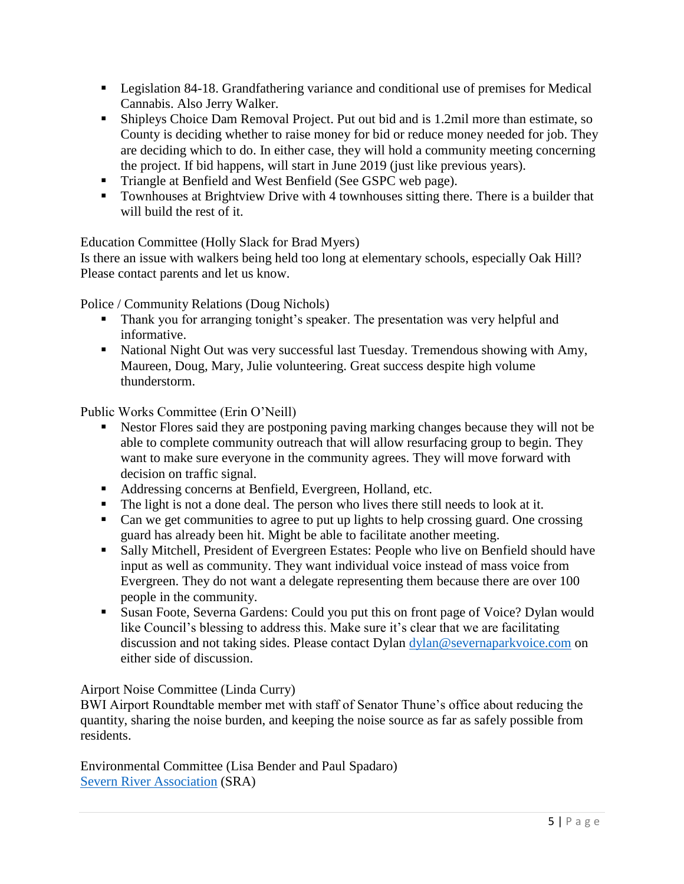- **•** Legislation 84-18. Grandfathering variance and conditional use of premises for Medical Cannabis. Also Jerry Walker.
- Shipleys Choice Dam Removal Project. Put out bid and is 1.2mil more than estimate, so County is deciding whether to raise money for bid or reduce money needed for job. They are deciding which to do. In either case, they will hold a community meeting concerning the project. If bid happens, will start in June 2019 (just like previous years).
- Triangle at Benfield and West Benfield (See GSPC web page).
- Townhouses at Brightview Drive with 4 townhouses sitting there. There is a builder that will build the rest of it.

Education Committee (Holly Slack for Brad Myers)

Is there an issue with walkers being held too long at elementary schools, especially Oak Hill? Please contact parents and let us know.

Police / Community Relations (Doug Nichols)

- **•** Thank you for arranging tonight's speaker. The presentation was very helpful and informative.
- National Night Out was very successful last Tuesday. Tremendous showing with Amy, Maureen, Doug, Mary, Julie volunteering. Great success despite high volume thunderstorm.

Public Works Committee (Erin O'Neill)

- Nestor Flores said they are postponing paving marking changes because they will not be able to complete community outreach that will allow resurfacing group to begin. They want to make sure everyone in the community agrees. They will move forward with decision on traffic signal.
- Addressing concerns at Benfield, Evergreen, Holland, etc.
- The light is not a done deal. The person who lives there still needs to look at it.
- Can we get communities to agree to put up lights to help crossing guard. One crossing guard has already been hit. Might be able to facilitate another meeting.
- Sally Mitchell, President of Evergreen Estates: People who live on Benfield should have input as well as community. They want individual voice instead of mass voice from Evergreen. They do not want a delegate representing them because there are over 100 people in the community.
- Susan Foote, Severna Gardens: Could you put this on front page of Voice? Dylan would like Council's blessing to address this. Make sure it's clear that we are facilitating discussion and not taking sides. Please contact Dylan [dylan@severnaparkvoice.com](mailto:dylan@severnaparkvoice.com) on either side of discussion.

Airport Noise Committee (Linda Curry)

BWI Airport Roundtable member met with staff of Senator Thune's office about reducing the quantity, sharing the noise burden, and keeping the noise source as far as safely possible from residents.

Environmental Committee (Lisa Bender and Paul Spadaro) [Severn River Association](https://www.facebook.com/SRAOnTheRiver/) (SRA)